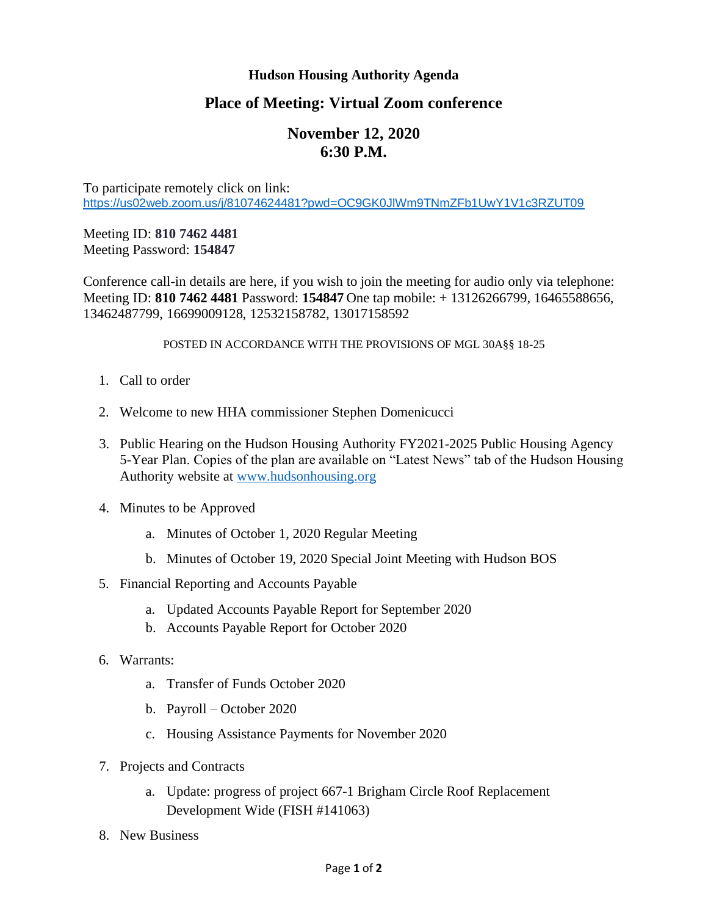## **Hudson Housing Authority Agenda**

## **Place of Meeting: Virtual Zoom conference**

## **November 12, 2020 6:30 P.M.**

To participate remotely click on link: <https://us02web.zoom.us/j/81074624481?pwd=OC9GK0JlWm9TNmZFb1UwY1V1c3RZUT09>

## Meeting ID: **810 7462 4481** Meeting Password: **154847**

Conference call-in details are here, if you wish to join the meeting for audio only via telephone: Meeting ID: **810 7462 4481** Password: **154847** One tap mobile: + 13126266799, 16465588656, 13462487799, 16699009128, 12532158782, 13017158592

POSTED IN ACCORDANCE WITH THE PROVISIONS OF MGL 30A§§ 18-25

- 1. Call to order
- 2. Welcome to new HHA commissioner Stephen Domenicucci
- 3. Public Hearing on the Hudson Housing Authority FY2021-2025 Public Housing Agency 5-Year Plan. Copies of the plan are available on "Latest News" tab of the Hudson Housing Authority website at [www.hudsonhousing.org](http://www.hudsonhousing.org/)
- 4. Minutes to be Approved
	- a. Minutes of October 1, 2020 Regular Meeting
	- b. Minutes of October 19, 2020 Special Joint Meeting with Hudson BOS
- 5. Financial Reporting and Accounts Payable
	- a. Updated Accounts Payable Report for September 2020
	- b. Accounts Payable Report for October 2020
- 6. Warrants:
	- a. Transfer of Funds October 2020
	- b. Payroll October 2020
	- c. Housing Assistance Payments for November 2020
- 7. Projects and Contracts
	- a. Update: progress of project 667-1 Brigham Circle Roof Replacement Development Wide (FISH #141063)
- 8. New Business